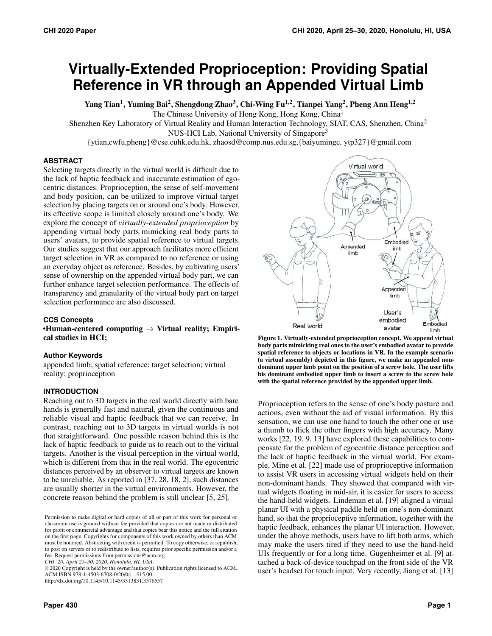# **Virtually-Extended Proprioception: Providing Spatial Reference in VR through an Appended Virtual Limb**

Yang Tian<sup>1</sup>, Yuming Bai<sup>2</sup>, Shengdong Zhao<sup>3</sup>, Chi-Wing Fu<sup>1,2</sup>, Tianpei Yang<sup>2</sup>, Pheng Ann Heng<sup>1,2</sup> The Chinese University of Hong Kong, Hong Kong, China1

Shenzhen Key Laboratory of Virtual Reality and Human Interaction Technology, SIAT, CAS, Shenzhen, China2

NUS-HCI Lab, National University of Singapore<sup>3</sup>

{ytian,cwfu,pheng}@cse.cuhk.edu.hk, zhaosd@comp.nus.edu.sg,{baiyumingc, [ytp327}@gmail.com](mailto:ytp327}@gmail.com)

## **ABSTRACT**

Selecting targets directly in the virtual world is difficult due to the lack of haptic feedback and inaccurate estimation of egocentric distances. Proprioception, the sense of self-movement and body position, can be utilized to improve virtual target selection by placing targets on or around one's body. However, its effective scope is limited closely around one's body. We explore the concept of *virtually-extended proprioception* by appending virtual body parts mimicking real body parts to users' avatars, to provide spatial reference to virtual targets. Our studies suggest that our approach facilitates more efficient target selection in VR as compared to no reference or using an everyday object as reference. Besides, by cultivating users' sense of ownership on the appended virtual body part, we can further enhance target selection performance. The effects of transparency and granularity of the virtual body part on target selection performance are also discussed.

## **CCS Concepts**

•Human-centered computing  $\rightarrow$  Virtual reality; Empirical studies in HCI;

#### **Author Keywords**

 appended limb; spatial reference; target selection; virtual reality; proprioception

#### **INTRODUCTION**

 Reaching out to 3D targets in the real world directly with bare hands is generally fast and natural, given the continuous and reliable visual and haptic feedback that we can receive. In contrast, reaching out to 3D targets in virtual worlds is not that straightforward. One possible reason behind this is the lack of haptic feedback to guide us to reach out to the virtual targets. Another is the visual perception in the virtual world, which is different from that in the real world. The egocentric distances perceived by an observer to virtual targets are known to be unreliable. As reported in [\[37,](#page-11-0) [28,](#page-11-1) [18,](#page-10-0) [2\]](#page-10-1), such distances are usually shorter in the virtual environments. However, the concrete reason behind the problem is still unclear [\[5,](#page-10-2) [25\].](#page-11-2)

*CHI '20, April 25–30, 2020, Honolulu, HI, USA.* 

 ACM ISBN 978-1-4503-6708-0/20/04 ...\$15.00. © 2020 Copyright is held by the owner/author(s). Publication rights licensed to ACM. <http://dx.doi.org/10.1145/10.1145/3313831.3376557>



<span id="page-0-0"></span>Figure 1. Virtually-extended proprioception concept. We append virtual body parts mimicking real ones to the user's embodied avatar to provide spatial reference to objects or locations in VR. In the example scenario (a virtual assembly) depicted in this figure, we make an appended nondominant upper limb point on the position of a screw hole. The user lifts his dominant embodied upper limb to insert a screw to the screw hole with the spatial reference provided by the appended upper limb.

Proprioception refers to the sense of one's body posture and actions, even without the aid of visual information. By this sensation, we can use one hand to touch the other one or use a thumb to flick the other fingers with high accuracy. Many works [\[22,](#page-11-3) [19,](#page-10-3) [9,](#page-10-4) [13\]](#page-10-5) have explored these capabilities to compensate for the problem of egocentric distance perception and the lack of haptic feedback in the virtual world. For example, Mine et al. [\[22\]](#page-11-3) made use of proprioceptive information to assist VR users in accessing virtual widgets held on their non-dominant hands. They showed that compared with virtual widgets floating in mid-air, it is easier for users to access the hand-held widgets. Lindeman et al. [\[19\]](#page-10-3) aligned a virtual planar UI with a physical paddle held on one's non-dominant hand, so that the proprioceptive information, together with the haptic feedback, enhances the planar UI interaction. However, under the above methods, users have to lift both arms, which may make the users tired if they need to use the hand-held UIs frequently or for a long time. Gugenheimer et al. [\[9\]](#page-10-4) attached a back-of-device touchpad on the front side of the VR user's headset for touch input. Very recently, Jiang et al. [\[13\]](#page-10-5)

 Permission to make digital or hard copies of all or part of this work for personal or classroom use is granted without fee provided that copies are not made or distributed for profit or commercial advantage and that copies bear this notice and the full citation on the first page. Copyrights for components of this work owned by others than ACM must be honored. Abstracting with credit is permitted. To copy otherwise, or republish, to post on servers or to redistribute to lists, requires prior specific permission and/or a fee. Request permissions from [permissions@acm.org](mailto:permissions@acm.org).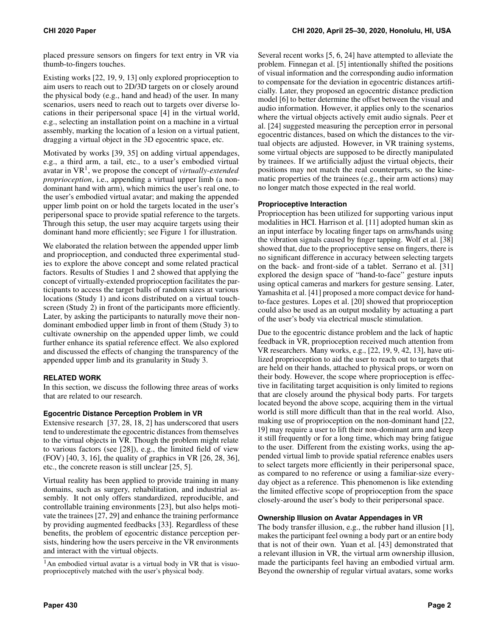placed pressure sensors on fingers for text entry in VR via thumb-to-fingers touches.

Existing works [\[22,](#page-11-3) [19,](#page-10-3) [9,](#page-10-4) [13\]](#page-10-5) only explored proprioception to aim users to reach out to 2D/3D targets on or closely around the physical body (e.g., hand and head) of the user. In many scenarios, users need to reach out to targets over diverse locations in their peripersonal space [\[4\]](#page-10-6) in the virtual world, e.g., selecting an installation point on a machine in a virtual assembly, marking the location of a lesion on a virtual patient, dragging a virtual object in the 3D egocentric space, etc.

Motivated by works [\[39,](#page-11-4) [35\]](#page-11-5) on adding virtual appendages, e.g., a third arm, a tail, etc., to a user's embodied virtual avatar in VR[1,](#page-1-0) we propose the concept of *virtually-extended proprioception*, i.e., appending a virtual upper limb (a nondominant hand with arm), which mimics the user's real one, to the user's embodied virtual avatar; and making the appended upper limb point on or hold the targets located in the user's peripersonal space to provide spatial reference to the targets. Through this setup, the user may acquire targets using their dominant hand more efficiently; see Figure [1](#page-0-0) for illustration.

We elaborated the relation between the appended upper limb and proprioception, and conducted three experimental studies to explore the above concept and some related practical factors. Results of Studies 1 and 2 showed that applying the concept of virtually-extended proprioception facilitates the participants to access the target balls of random sizes at various locations (Study 1) and icons distributed on a virtual touchscreen (Study 2) in front of the participants more efficiently. Later, by asking the participants to naturally move their nondominant embodied upper limb in front of them (Study 3) to cultivate ownership on the appended upper limb, we could further enhance its spatial reference effect. We also explored and discussed the effects of changing the transparency of the appended upper limb and its granularity in Study 3.

# **RELATED WORK**

In this section, we discuss the following three areas of works that are related to our research.

# **Egocentric Distance Perception Problem in VR**

Extensive research [\[37,](#page-11-0) [28,](#page-11-1) [18,](#page-10-0) [2\]](#page-10-1) has underscored that users tend to underestimate the egocentric distances from themselves to the virtual objects in VR. Though the problem might relate to various factors (see [\[28\]](#page-11-1)), e.g., the limited field of view (FOV) [\[40,](#page-11-6) [3,](#page-10-7) [16\]](#page-10-8), the quality of graphics in VR [\[26,](#page-11-7) [28,](#page-11-1) [36\]](#page-11-8), etc., the concrete reason is still unclear [\[25,](#page-11-2) [5\]](#page-10-2).

Virtual reality has been applied to provide training in many domains, such as surgery, rehabilitation, and industrial assembly. It not only offers standardized, reproducible, and controllable training environments [\[23\]](#page-11-9), but also helps motivate the trainees [\[27,](#page-11-10) [29\]](#page-11-11) and enhance the training performance by providing augmented feedbacks [\[33\]](#page-11-12). Regardless of these benefits, the problem of egocentric distance perception persists, hindering how the users perceive in the VR environments and interact with the virtual objects.

Several recent works [\[5,](#page-10-2) [6,](#page-10-9) [24\]](#page-11-13) have attempted to alleviate the problem. Finnegan et al. [\[5\]](#page-10-2) intentionally shifted the positions of visual information and the corresponding audio information to compensate for the deviation in egocentric distances artificially. Later, they proposed an egocentric distance prediction model [\[6\]](#page-10-9) to better determine the offset between the visual and audio information. However, it applies only to the scenarios where the virtual objects actively emit audio signals. Peer et al. [\[24\]](#page-11-13) suggested measuring the perception error in personal egocentric distances, based on which the distances to the virtual objects are adjusted. However, in VR training systems, some virtual objects are supposed to be directly manipulated by trainees. If we artificially adjust the virtual objects, their positions may not match the real counterparts, so the kinematic properties of the trainees (e.g., their arm actions) may no longer match those expected in the real world.

# **Proprioceptive Interaction**

Proprioception has been utilized for supporting various input modalities in HCI. Harrison et al. [\[11\]](#page-10-10) adopted human skin as an input interface by locating finger taps on arms/hands using the vibration signals caused by finger tapping. Wolf et al. [\[38\]](#page-11-14) showed that, due to the proprioceptive sense on fingers, there is no significant difference in accuracy between selecting targets on the back- and front-side of a tablet. Serrano et al. [\[31\]](#page-11-15) explored the design space of "hand-to-face" gesture inputs using optical cameras and markers for gesture sensing. Later, Yamashita et al. [\[41\]](#page-11-16) proposed a more compact device for handto-face gestures. Lopes et al. [\[20\]](#page-10-11) showed that proprioception could also be used as an output modality by actuating a part of the user's body via electrical muscle stimulation.

Due to the egocentric distance problem and the lack of haptic feedback in VR, proprioception received much attention from VR researchers. Many works, e.g., [\[22,](#page-11-3) [19,](#page-10-3) [9,](#page-10-4) [42,](#page-11-17) [13\]](#page-10-5), have utilized proprioception to aid the user to reach out to targets that are held on their hands, attached to physical props, or worn on their body. However, the scope where proprioception is effective in facilitating target acquisition is only limited to regions that are closely around the physical body parts. For targets located beyond the above scope, acquiring them in the virtual world is still more difficult than that in the real world. Also, making use of proprioception on the non-dominant hand [\[22,](#page-11-3) [19\]](#page-10-3) may require a user to lift their non-dominant arm and keep it still frequently or for a long time, which may bring fatigue to the user. Different from the existing works, using the appended virtual limb to provide spatial reference enables users to select targets more efficiently in their peripersonal space, as compared to no reference or using a familiar-size everyday object as a reference. This phenomenon is like extending the limited effective scope of proprioception from the space closely-around the user's body to their peripersonal space.

# **Ownership Illusion on Avatar Appendages in VR**

The body transfer illusion, e.g., the rubber hand illusion [\[1\]](#page-10-12), makes the participant feel owning a body part or an entire body that is not of their own. Yuan et al. [\[43\]](#page-11-18) demonstrated that a relevant illusion in VR, the virtual arm ownership illusion, made the participants feel having an embodied virtual arm. Beyond the ownership of regular virtual avatars, some works

<span id="page-1-0"></span><sup>&</sup>lt;sup>1</sup>An embodied virtual avatar is a virtual body in VR that is visuoproprioceptively matched with the user's physical body.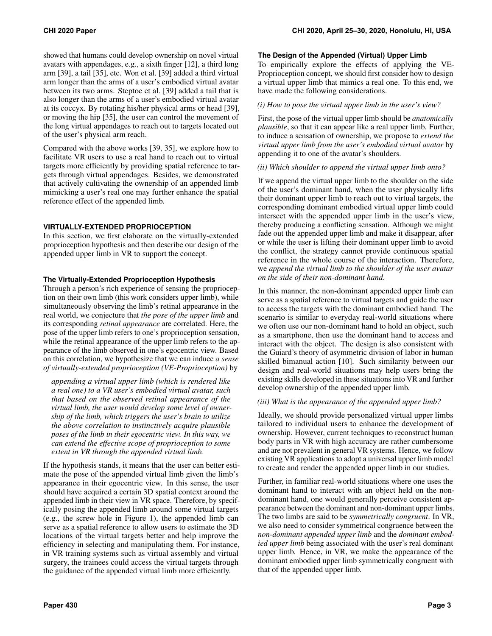showed that humans could develop ownership on novel virtual avatars with appendages, e.g., a sixth finger [\[12\]](#page-10-13), a third long arm [\[39\]](#page-11-4), a tail [\[35\]](#page-11-5), etc. Won et al. [\[39\]](#page-11-4) added a third virtual arm longer than the arms of a user's embodied virtual avatar between its two arms. Steptoe et al. [\[39\]](#page-11-4) added a tail that is also longer than the arms of a user's embodied virtual avatar at its coccyx. By rotating his/her physical arms or head [\[39\]](#page-11-4), or moving the hip [\[35\]](#page-11-5), the user can control the movement of the long virtual appendages to reach out to targets located out of the user's physical arm reach.

Compared with the above works [\[39,](#page-11-4) [35\]](#page-11-5), we explore how to facilitate VR users to use a real hand to reach out to virtual targets more efficiently by providing spatial reference to targets through virtual appendages. Besides, we demonstrated that actively cultivating the ownership of an appended limb mimicking a user's real one may further enhance the spatial reference effect of the appended limb.

## **VIRTUALLY-EXTENDED PROPRIOCEPTION**

In this section, we first elaborate on the virtually-extended proprioception hypothesis and then describe our design of the appended upper limb in VR to support the concept.

## **The Virtually-Extended Proprioception Hypothesis**

Through a person's rich experience of sensing the proprioception on their own limb (this work considers upper limb), while simultaneously observing the limb's retinal appearance in the real world, we conjecture that *the pose of the upper limb* and its corresponding *retinal appearance* are correlated. Here, the pose of the upper limb refers to one's proprioception sensation, while the retinal appearance of the upper limb refers to the appearance of the limb observed in one's egocentric view. Based on this correlation, we hypothesize that we can induce *a sense of virtually-extended proprioception (VE-Proprioception)* by

*appending a virtual upper limb (which is rendered like a real one) to a VR user's embodied virtual avatar, such that based on the observed retinal appearance of the virtual limb, the user would develop some level of ownership of the limb, which triggers the user's brain to utilize the above correlation to instinctively acquire plausible poses of the limb in their egocentric view. In this way, we can extend the effective scope of proprioception to some extent in VR through the appended virtual limb.* 

If the hypothesis stands, it means that the user can better estimate the pose of the appended virtual limb given the limb's appearance in their egocentric view. In this sense, the user should have acquired a certain 3D spatial context around the appended limb in their view in VR space. Therefore, by specifically posing the appended limb around some virtual targets (e.g., the screw hole in Figure [1\)](#page-0-0), the appended limb can serve as a spatial reference to allow users to estimate the 3D locations of the virtual targets better and help improve the efficiency in selecting and manipulating them. For instance, in VR training systems such as virtual assembly and virtual surgery, the trainees could access the virtual targets through the guidance of the appended virtual limb more efficiently.

## <span id="page-2-0"></span>**The Design of the Appended (Virtual) Upper Limb**

To empirically explore the effects of applying the VE-Proprioception concept, we should first consider how to design a virtual upper limb that mimics a real one. To this end, we have made the following considerations.

#### *(i) How to pose the virtual upper limb in the user's view?*

First, the pose of the virtual upper limb should be *anatomically plausible*, so that it can appear like a real upper limb. Further, to induce a sensation of ownership, we propose to *extend the virtual upper limb from the user's embodied virtual avatar* by appending it to one of the avatar's shoulders.

#### *(ii) Which shoulder to append the virtual upper limb onto?*

If we append the virtual upper limb to the shoulder on the side of the user's dominant hand, when the user physically lifts their dominant upper limb to reach out to virtual targets, the corresponding dominant embodied virtual upper limb could intersect with the appended upper limb in the user's view, thereby producing a conflicting sensation. Although we might fade out the appended upper limb and make it disappear, after or while the user is lifting their dominant upper limb to avoid the conflict, the strategy cannot provide continuous spatial reference in the whole course of the interaction. Therefore, we *append the virtual limb to the shoulder of the user avatar on the side of their non-dominant hand*.

In this manner, the non-dominant appended upper limb can serve as a spatial reference to virtual targets and guide the user to access the targets with the dominant embodied hand. The scenario is similar to everyday real-world situations where we often use our non-dominant hand to hold an object, such as a smartphone, then use the dominant hand to access and interact with the object. The design is also consistent with the Guiard's theory of asymmetric division of labor in human skilled bimanual action [\[10\]](#page-10-14). Such similarity between our design and real-world situations may help users bring the existing skills developed in these situations into VR and further develop ownership of the appended upper limb.

#### *(iii) What is the appearance of the appended upper limb?*

Ideally, we should provide personalized virtual upper limbs tailored to individual users to enhance the development of ownership. However, current techniques to reconstruct human body parts in VR with high accuracy are rather cumbersome and are not prevalent in general VR systems. Hence, we follow existing VR applications to adopt a universal upper limb model to create and render the appended upper limb in our studies.

Further, in familiar real-world situations where one uses the dominant hand to interact with an object held on the nondominant hand, one would generally perceive consistent appearance between the dominant and non-dominant upper limbs. The two limbs are said to be *symmetrically congruent*. In VR, we also need to consider symmetrical congruence between the *non-dominant appended upper limb* and the *dominant embodied upper limb* being associated with the user's real dominant upper limb. Hence, in VR, we make the appearance of the dominant embodied upper limb symmetrically congruent with that of the appended upper limb.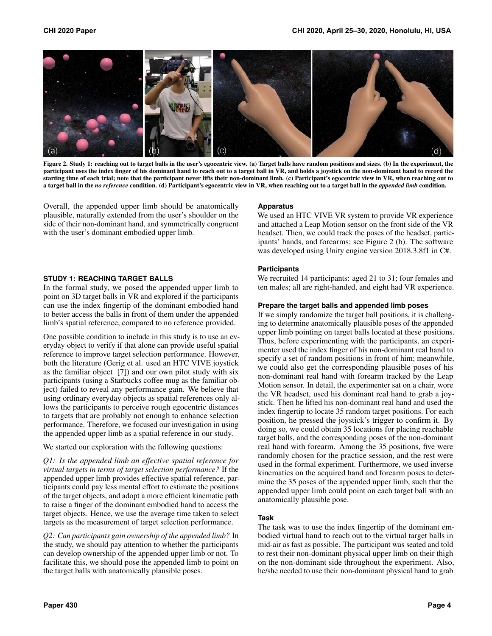

Figure 2. Study 1: reaching out to target balls in the user's egocentric view. (a) Target balls have random positions and sizes. (b) In the experiment, the participant uses the index finger of his dominant hand to reach out to a target ball in VR, and holds a joystick on the non-dominant hand to record the starting time of each trial; note that the participant never lifts their non-dominant limb. (c) Participant's egocentric view in VR, when reaching out to a target ball in the *no reference* condition. (d) Participant's egocentric view in VR, when reaching out to a target ball in the *appended limb* condition.

<span id="page-3-0"></span>Overall, the appended upper limb should be anatomically plausible, naturally extended from the user's shoulder on the side of their non-dominant hand, and symmetrically congruent with the user's dominant embodied upper limb.

#### <span id="page-3-1"></span>**STUDY 1: REACHING TARGET BALLS**

In the formal study, we posed the appended upper limb to point on 3D target balls in VR and explored if the participants can use the index fingertip of the dominant embodied hand to better access the balls in front of them under the appended limb's spatial reference, compared to no reference provided.

One possible condition to include in this study is to use an everyday object to verify if that alone can provide useful spatial reference to improve target selection performance. However, both the literature (Gerig et al. used an HTC VIVE joystick as the familiar object [\[7\]](#page-10-15)) and our own pilot study with six participants (using a Starbucks coffee mug as the familiar object) failed to reveal any performance gain. We believe that using ordinary everyday objects as spatial references only allows the participants to perceive rough egocentric distances to targets that are probably not enough to enhance selection performance. Therefore, we focused our investigation in using the appended upper limb as a spatial reference in our study.

We started our exploration with the following questions:

*Q1: Is the appended limb an effective spatial reference for virtual targets in terms of target selection performance?* If the appended upper limb provides effective spatial reference, participants could pay less mental effort to estimate the positions of the target objects, and adopt a more efficient kinematic path to raise a finger of the dominant embodied hand to access the target objects. Hence, we use the average time taken to select targets as the measurement of target selection performance.

*Q2: Can participants gain ownership of the appended limb?* In the study, we should pay attention to whether the participants can develop ownership of the appended upper limb or not. To facilitate this, we should pose the appended limb to point on the target balls with anatomically plausible poses.

#### **Apparatus**

We used an HTC VIVE VR system to provide VR experience and attached a Leap Motion sensor on the front side of the VR headset. Then, we could track the poses of the headset, participants' hands, and forearms; see Figure [2](#page-3-0) (b). The software was developed using Unity engine version 2018.3.8f1 in C#.

#### **Participants**

We recruited 14 participants: aged 21 to 31; four females and ten males; all are right-handed, and eight had VR experience.

#### **Prepare the target balls and appended limb poses**

If we simply randomize the target ball positions, it is challenging to determine anatomically plausible poses of the appended upper limb pointing on target balls located at these positions. Thus, before experimenting with the participants, an experimenter used the index finger of his non-dominant real hand to specify a set of random positions in front of him; meanwhile, we could also get the corresponding plausible poses of his non-dominant real hand with forearm tracked by the Leap Motion sensor. In detail, the experimenter sat on a chair, wore the VR headset, used his dominant real hand to grab a joystick. Then he lifted his non-dominant real hand and used the index fingertip to locate 35 random target positions. For each position, he pressed the joystick's trigger to confirm it. By doing so, we could obtain 35 locations for placing reachable target balls, and the corresponding poses of the non-dominant real hand with forearm. Among the 35 positions, five were randomly chosen for the practice session, and the rest were used in the formal experiment. Furthermore, we used inverse kinematics on the acquired hand and forearm poses to determine the 35 poses of the appended upper limb, such that the appended upper limb could point on each target ball with an anatomically plausible pose.

#### **Task**

The task was to use the index fingertip of the dominant embodied virtual hand to reach out to the virtual target balls in mid-air as fast as possible. The participant was seated and told to rest their non-dominant physical upper limb on their thigh on the non-dominant side throughout the experiment. Also, he/she needed to use their non-dominant physical hand to grab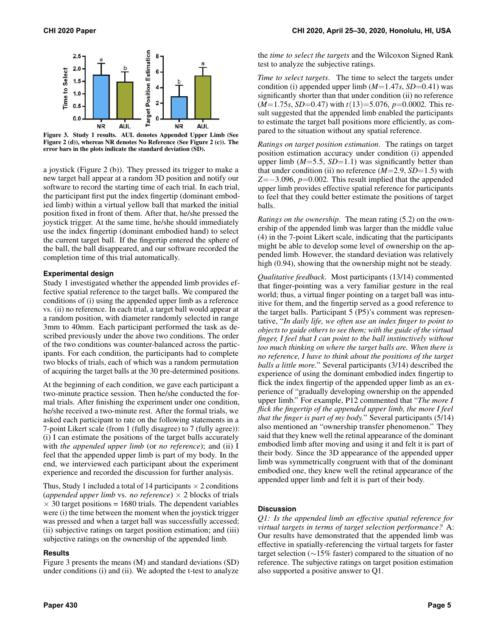

<span id="page-4-0"></span>Figure 3. Study 1 results. AUL denotes Appended Upper Limb (See Figure [2](#page-3-0) (d)), whereas NR denotes No Reference (See Figure [2](#page-3-0) (c)). The error bars in the plots indicate the standard deviation (SD).

a joystick (Figure [2](#page-3-0) (b)). They pressed its trigger to make a new target ball appear at a random 3D position and notify our software to record the starting time of each trial. In each trial, the participant first put the index fingertip (dominant embodied limb) within a virtual yellow ball that marked the initial position fixed in front of them. After that, he/she pressed the joystick trigger. At the same time, he/she should immediately use the index fingertip (dominant embodied hand) to select the current target ball. If the fingertip entered the sphere of the ball, the ball disappeared, and our software recorded the completion time of this trial automatically.

#### **Experimental design**

Study 1 investigated whether the appended limb provides effective spatial reference to the target balls. We compared the conditions of (i) using the appended upper limb as a reference vs. (ii) no reference. In each trial, a target ball would appear at a random position, with diameter randomly selected in range 3mm to 40mm. Each participant performed the task as described previously under the above two conditions. The order of the two conditions was counter-balanced across the participants. For each condition, the participants had to complete two blocks of trials, each of which was a random permutation of acquiring the target balls at the 30 pre-determined positions.

At the beginning of each condition, we gave each participant a two-minute practice session. Then he/she conducted the formal trials. After finishing the experiment under one condition, he/she received a two-minute rest. After the formal trials, we asked each participant to rate on the following statements in a 7-point Likert scale (from 1 (fully disagree) to 7 (fully agree)): (i) I can estimate the positions of the target balls accurately with *the appended upper limb* (or *no reference*); and (ii) I feel that the appended upper limb is part of my body. In the end, we interviewed each participant about the experiment experience and recorded the discussion for further analysis.

Thus, Study 1 included a total of 14 participants  $\times$  2 conditions (*appended upper limb vs. no reference*)  $\times$  2 blocks of trials  $\times$  30 target positions = 1680 trials. The dependent variables were (i) the time between the moment when the joystick trigger was pressed and when a target ball was successfully accessed; (ii) subjective ratings on target position estimation; and (iii) subjective ratings on the ownership of the appended limb.

#### **Results**

Figure [3](#page-4-0) presents the means (M) and standard deviations (SD) under conditions (i) and (ii). We adopted the t-test to analyze

the *time to select the targets* and the Wilcoxon Signed Rank test to analyze the subjective ratings.

*Time to select targets*. The time to select the targets under condition (i) appended upper limb  $(M=1.47s, SD=0.41)$  was significantly shorter than that under condition (ii) no reference (*M*=1.75*s*, *SD*=0.47) with *t*(13)=5.076, *p*=0.0002. This result suggested that the appended limb enabled the participants to estimate the target ball positions more efficiently, as compared to the situation without any spatial reference.

*Ratings on target position estimation*. The ratings on target position estimation accuracy under condition (i) appended upper limb  $(M=5.5, SD=1.1)$  was significantly better than that under condition (ii) no reference  $(M=2.9, SD=1.5)$  with *Z*=−3.096, *p*=0.002. This result implied that the appended upper limb provides effective spatial reference for participants to feel that they could better estimate the positions of target balls.

*Ratings on the ownership*. The mean rating (5.2) on the ownership of the appended limb was larger than the middle value (4) in the 7-point Likert scale, indicating that the participants might be able to develop some level of ownership on the appended limb. However, the standard deviation was relatively high (0.94), showing that the ownership might not be steady.

*Qualitative feedback*. Most participants (13/14) commented that finger-pointing was a very familiar gesture in the real world; thus, a virtual finger pointing on a target ball was intuitive for them, and the fingertip served as a good reference to the target balls. Participant 5 (P5)'s comment was representative, "*In daily life, we often use an index finger to point to objects to guide others to see them; with the guide of the virtual finger, I feel that I can point to the ball instinctively without too much thinking on where the target balls are. When there is no reference, I have to think about the positions of the target balls a little more.*" Several participants (3/14) described the experience of using the dominant embodied index fingertip to flick the index fingertip of the appended upper limb as an experience of "gradually developing ownership on the appended upper limb." For example, P12 commented that "*The more I flick the fingertip of the appended upper limb, the more I feel that the finger is part of my body.*" Several participants (5/14) also mentioned an "ownership transfer phenomenon." They said that they knew well the retinal appearance of the dominant embodied limb after moving and using it and felt it is part of their body. Since the 3D appearance of the appended upper limb was symmetrically congruent with that of the dominant embodied one, they knew well the retinal appearance of the appended upper limb and felt it is part of their body.

#### **Discussion**

*Q1: Is the appended limb an effective spatial reference for virtual targets in terms of target selection performance?* A: Our results have demonstrated that the appended limb was effective in spatially-referencing the virtual targets for faster target selection (∼15% faster) compared to the situation of no reference. The subjective ratings on target position estimation also supported a positive answer to Q1.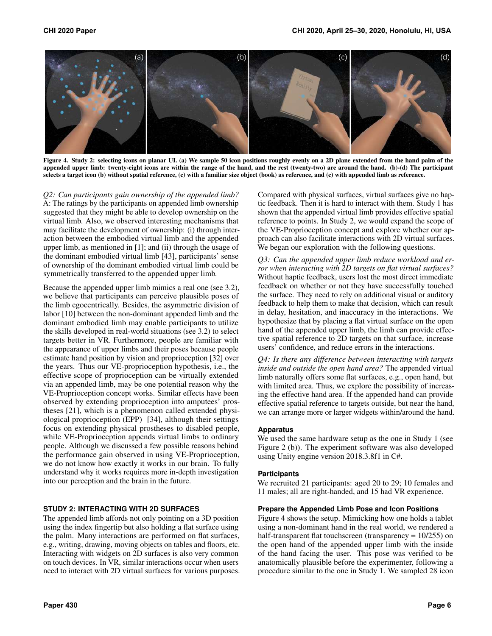

<span id="page-5-0"></span>Figure 4. Study 2: selecting icons on planar UI. (a) We sample 50 icon positions roughly evenly on a 2D plane extended from the hand palm of the appended upper limb: twenty-eight icons are within the range of the hand, and the rest (twenty-two) are around the hand. (b)-(d) The participant selects a target icon (b) without spatial reference, (c) with a familiar size object (book) as reference, and (c) with appended limb as reference.

*Q2: Can participants gain ownership of the appended limb?*  A: The ratings by the participants on appended limb ownership suggested that they might be able to develop ownership on the virtual limb. Also, we observed interesting mechanisms that may facilitate the development of ownership: (i) through interaction between the embodied virtual limb and the appended upper limb, as mentioned in [\[1\]](#page-10-12); and (ii) through the usage of the dominant embodied virtual limb [\[43\]](#page-11-18), participants' sense of ownership of the dominant embodied virtual limb could be symmetrically transferred to the appended upper limb.

Because the appended upper limb mimics a real one (see [3.2\)](#page-2-0), we believe that participants can perceive plausible poses of the limb egocentrically. Besides, the asymmetric division of labor [\[10\]](#page-10-14) between the non-dominant appended limb and the dominant embodied limb may enable participants to utilize the skills developed in real-world situations (see [3.2\)](#page-2-0) to select targets better in VR. Furthermore, people are familiar with the appearance of upper limbs and their poses because people estimate hand position by vision and proprioception [\[32\]](#page-11-19) over the years. Thus our VE-proprioception hypothesis, i.e., the effective scope of proprioception can be virtually extended via an appended limb, may be one potential reason why the VE-Proprioception concept works. Similar effects have been observed by extending proprioception into amputees' prostheses [\[21\]](#page-10-16), which is a phenomenon called extended physiological proprioception (EPP) [\[34\]](#page-11-20), although their settings focus on extending physical prostheses to disabled people, while VE-Proprioception appends virtual limbs to ordinary people. Although we discussed a few possible reasons behind the performance gain observed in using VE-Proprioception, we do not know how exactly it works in our brain. To fully understand why it works requires more in-depth investigation into our perception and the brain in the future.

#### <span id="page-5-1"></span>**STUDY 2: INTERACTING WITH 2D SURFACES**

The appended limb affords not only pointing on a 3D position using the index fingertip but also holding a flat surface using the palm. Many interactions are performed on flat surfaces, e.g., writing, drawing, moving objects on tables and floors, etc. Interacting with widgets on 2D surfaces is also very common on touch devices. In VR, similar interactions occur when users need to interact with 2D virtual surfaces for various purposes. Compared with physical surfaces, virtual surfaces give no haptic feedback. Then it is hard to interact with them. Study 1 has shown that the appended virtual limb provides effective spatial reference to points. In Study 2, we would expand the scope of the VE-Proprioception concept and explore whether our approach can also facilitate interactions with 2D virtual surfaces. We began our exploration with the following questions.

*Q3: Can the appended upper limb reduce workload and error when interacting with 2D targets on flat virtual surfaces?*  Without haptic feedback, users lost the most direct immediate feedback on whether or not they have successfully touched the surface. They need to rely on additional visual or auditory feedback to help them to make that decision, which can result in delay, hesitation, and inaccuracy in the interactions. We hypothesize that by placing a flat virtual surface on the open hand of the appended upper limb, the limb can provide effective spatial reference to 2D targets on that surface, increase users' confidence, and reduce errors in the interactions.

*Q4: Is there any difference between interacting with targets inside and outside the open hand area?* The appended virtual limb naturally offers some flat surfaces, e.g., open hand, but with limited area. Thus, we explore the possibility of increasing the effective hand area. If the appended hand can provide effective spatial reference to targets outside, but near the hand, we can arrange more or larger widgets within/around the hand.

#### **Apparatus**

We used the same hardware setup as the one in Study 1 (see Figure [2](#page-3-0) (b)). The experiment software was also developed using Unity engine version 2018.3.8f1 in C#.

#### **Participants**

We recruited 21 participants: aged 20 to 29; 10 females and 11 males; all are right-handed, and 15 had VR experience.

#### **Prepare the Appended Limb Pose and Icon Positions**

Figure [4](#page-5-0) shows the setup. Mimicking how one holds a tablet using a non-dominant hand in the real world, we rendered a half-transparent flat touchscreen (transparency =  $10/255$ ) on the open hand of the appended upper limb with the inside of the hand facing the user. This pose was verified to be anatomically plausible before the experimenter, following a procedure similar to the one in Study 1. We sampled 28 icon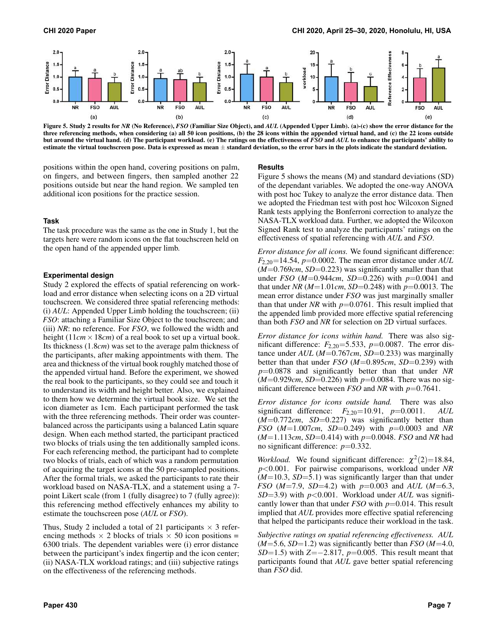

<span id="page-6-0"></span>Figure 5. Study 2 results for *NR* (No Reference), *FSO* (Familiar Size Object), and *AUL* (Appended Upper Limb). (a)-(c) show the error distance for the three referencing methods, when considering (a) all 50 icon positions, (b) the 28 icons within the appended virtual hand, and (c) the 22 icons outside but around the virtual hand. (d) The participant workload. (e) The ratings on the effectiveness of *FSO* and *AUL* to enhance the participants' ability to estimate the virtual touchscreen pose. Data is expressed as mean  $\pm$  standard deviation, so the error bars in the plots indicate the standard deviation.

positions within the open hand, covering positions on palm, on fingers, and between fingers, then sampled another 22 positions outside but near the hand region. We sampled ten additional icon positions for the practice session.

#### **Task**

The task procedure was the same as the one in Study 1, but the targets here were random icons on the flat touchscreen held on the open hand of the appended upper limb.

#### **Experimental design**

Study 2 explored the effects of spatial referencing on workload and error distance when selecting icons on a 2D virtual touchscreen. We considered three spatial referencing methods: (i) *AUL*: Appended Upper Limb holding the touchscreen; (ii) *FSO*: attaching a Familiar Size Object to the touchscreen; and (iii) *NR*: no reference. For *FSO*, we followed the width and height  $(11cm \times 18cm)$  of a real book to set up a virtual book. Its thickness (1.8*cm*) was set to the average palm thickness of the participants, after making appointments with them. The area and thickness of the virtual book roughly matched those of the appended virtual hand. Before the experiment, we showed the real book to the participants, so they could see and touch it to understand its width and height better. Also, we explained to them how we determine the virtual book size. We set the icon diameter as 1cm. Each participant performed the task with the three referencing methods. Their order was counterbalanced across the participants using a balanced Latin square design. When each method started, the participant practiced two blocks of trials using the ten additionally sampled icons. For each referencing method, the participant had to complete two blocks of trials, each of which was a random permutation of acquiring the target icons at the 50 pre-sampled positions. After the formal trials, we asked the participants to rate their workload based on NASA-TLX, and a statement using a 7 point Likert scale (from 1 (fully disagree) to 7 (fully agree)): this referencing method effectively enhances my ability to estimate the touchscreen pose (*AUL* or *FSO*).

Thus, Study 2 included a total of 21 participants  $\times$  3 referencing methods  $\times$  2 blocks of trials  $\times$  50 icon positions = 6300 trials. The dependent variables were (i) error distance between the participant's index fingertip and the icon center; (ii) NASA-TLX workload ratings; and (iii) subjective ratings on the effectiveness of the referencing methods.

#### **Results**

Figure [5](#page-6-0) shows the means (M) and standard deviations (SD) of the dependant variables. We adopted the one-way ANOVA with post hoc Tukey to analyze the error distance data. Then we adopted the Friedman test with post hoc Wilcoxon Signed Rank tests applying the Bonferroni correction to analyze the NASA-TLX workload data. Further, we adopted the Wilcoxon Signed Rank test to analyze the participants' ratings on the effectiveness of spatial referencing with *AUL* and *FSO*.

*Error distance for all icons.* We found significant difference:  $F_{2,20}$ =[14](https://F2,20=14.54).54,  $p$ =0.0002. The mean error distance under *AUL* (*M*=0.769*cm*, *SD*=0.223) was significantly smaller than that under *FSO* (*M*=0.944*cm*, *SD*=0.226) with *p*=0.0041 and that under *NR* (*M*=1.01*cm*, *SD*=0.248) with *p*=0.0013. The mean error distance under *FSO* was just marginally smaller than that under *NR* with  $p=0.0761$ . This result implied that the appended limb provided more effective spatial referencing than both *FSO* and *NR* for selection on 2D virtual surfaces.

*Error distance for icons within hand.* There was also significant difference:  $F_{2,20}$ =5.533,  $p$ =0.0087. The error distance under *AUL* (*M*=0.767*cm*, *SD*=0.233) was marginally better than that under *FSO* (*M*=0.895*cm*, *SD*=0.239) with *p*=0.0878 and significantly better than that under *NR*  (*M*=0.929*cm*, *SD*=0.226) with *p*=0.0084. There was no significant difference between *FSO* and *NR* with *p*=0.7641.

*Error distance for icons outside hand.* There was also significant difference: *F*2,20=10.[91](https://F2,20=10.91), *p*=0.0011. *AUL*  (*M*=0.772*cm*, *SD*=0.227) was significantly better than *FSO* (*M*=1.007*cm*, *SD*=0.249) with *p*=0.0003 and *NR*  (*M*=1.113*cm*, *SD*=0.414) with *p*=0.0048. *FSO* and *NR* had no significant difference: *p*=0.332.

*Workload.* We found significant difference:  $\chi^2(2)=18.84$  $\chi^2(2)=18.84$  $\chi^2(2)=18.84$ , *p*<0.001. For pairwise comparisons, workload under *NR*  (*M*=10.3, *SD*=5.1) was significantly larger than that under *FSO* (*M*=7.9, *SD*=4.2) with *p*=0.003 and *AUL* (*M*=6.3, *SD*=3.9) with *p*<0.001. Workload under *AUL* was significantly lower than that under *FSO* with *p*=0.014. This result implied that *AUL* provides more effective spatial referencing that helped the participants reduce their workload in the task.

*Subjective ratings on spatial referencing effectiveness. AUL*  (*M*=5.6, *SD*=1.2) was significantly better than *FSO* (*M*=4.0, *SD*=1.5) with *Z*=−2.817, *p*=0.005. This result meant that participants found that *AUL* gave better spatial referencing than *FSO* did.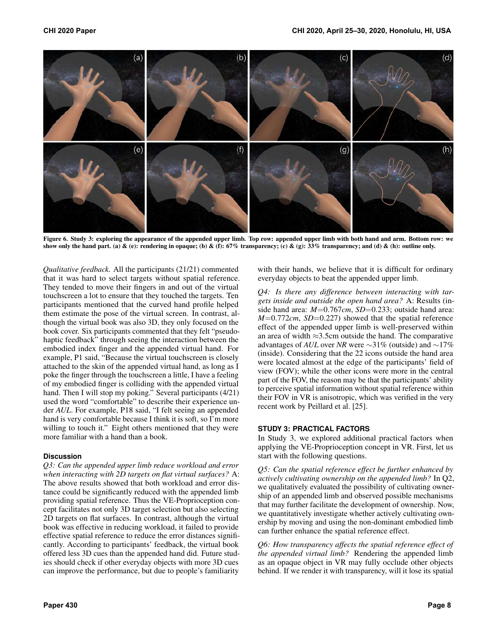

<span id="page-7-0"></span>Figure 6. Study 3: exploring the appearance of the appended upper limb. Top row: appended upper limb with both hand and arm. Bottom row: we show only the hand part. (a) & (e): rendering in opaque; (b) & (f): 67% transparency; (c) & (g):  $33%$  transparency; and (d) & (h): outline only.

*Qualitative feedback.* All the participants (21/21) commented that it was hard to select targets without spatial reference. They tended to move their fingers in and out of the virtual touchscreen a lot to ensure that they touched the targets. Ten participants mentioned that the curved hand profile helped them estimate the pose of the virtual screen. In contrast, although the virtual book was also 3D, they only focused on the book cover. Six participants commented that they felt "pseudohaptic feedback" through seeing the interaction between the embodied index finger and the appended virtual hand. For example, P1 said, "Because the virtual touchscreen is closely attached to the skin of the appended virtual hand, as long as I poke the finger through the touchscreen a little, I have a feeling of my embodied finger is colliding with the appended virtual hand. Then I will stop my poking." Several participants (4/21) used the word "comfortable" to describe their experience under *AUL*. For example, P18 said, "I felt seeing an appended hand is very comfortable because I think it is soft, so I'm more willing to touch it." Eight others mentioned that they were more familiar with a hand than a book.

#### **Discussion**

*Q3: Can the appended upper limb reduce workload and error when interacting with 2D targets on flat virtual surfaces?* A: The above results showed that both workload and error distance could be significantly reduced with the appended limb providing spatial reference. Thus the VE-Proprioception concept facilitates not only 3D target selection but also selecting 2D targets on flat surfaces. In contrast, although the virtual book was effective in reducing workload, it failed to provide effective spatial reference to reduce the error distances significantly. According to participants' feedback, the virtual book offered less 3D cues than the appended hand did. Future studies should check if other everyday objects with more 3D cues can improve the performance, but due to people's familiarity with their hands, we believe that it is difficult for ordinary everyday objects to beat the appended upper limb.

*Q4: Is there any difference between interacting with targets inside and outside the open hand area?* A: Results (inside hand area:  $M=0.767cm$ , *SD*=0.233; outside hand area: *M*=0.772*cm*, *SD*=0.227) showed that the spatial reference effect of the appended upper limb is well-preserved within an area of width ≈3.5cm outside the hand. The comparative advantages of *AUL* over *NR* were ∼31% (outside) and ∼17% (inside). Considering that the 22 icons outside the hand area were located almost at the edge of the participants' field of view (FOV); while the other icons were more in the central part of the FOV, the reason may be that the participants' ability to perceive spatial information without spatial reference within their FOV in VR is anisotropic, which was verified in the very recent work by Peillard et al. [\[25\]](#page-11-2).

# **STUDY 3: PRACTICAL FACTORS**

In Study 3, we explored additional practical factors when applying the VE-Proprioception concept in VR. First, let us start with the following questions.

*Q5: Can the spatial reference effect be further enhanced by actively cultivating ownership on the appended limb?* In Q2, we qualitatively evaluated the possibility of cultivating ownership of an appended limb and observed possible mechanisms that may further facilitate the development of ownership. Now, we quantitatively investigate whether actively cultivating ownership by moving and using the non-dominant embodied limb can further enhance the spatial reference effect.

*Q6: How transparency affects the spatial reference effect of the appended virtual limb?* Rendering the appended limb as an opaque object in VR may fully occlude other objects behind. If we render it with transparency, will it lose its spatial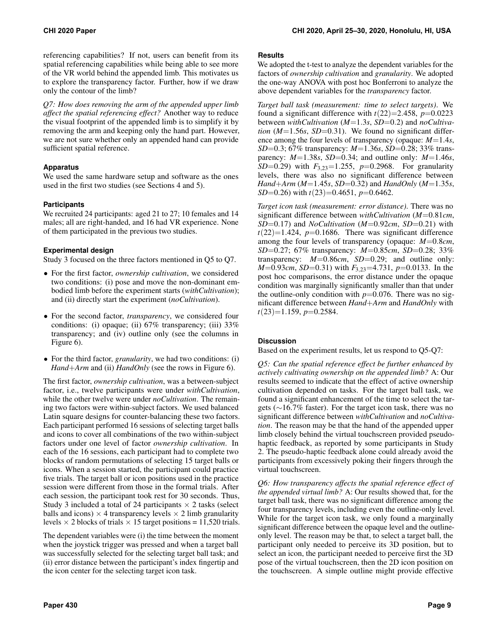referencing capabilities? If not, users can benefit from its spatial referencing capabilities while being able to see more of the VR world behind the appended limb. This motivates us to explore the transparency factor. Further, how if we draw only the contour of the limb?

*Q7: How does removing the arm of the appended upper limb affect the spatial referencing effect?* Another way to reduce the visual footprint of the appended limb is to simplify it by removing the arm and keeping only the hand part. However, we are not sure whether only an appended hand can provide sufficient spatial reference.

# **Apparatus**

We used the same hardware setup and software as the ones used in the first two studies (see Sections [4](#page-3-1) and [5\)](#page-5-1).

## **Participants**

We recruited 24 participants: aged 21 to 27; 10 females and 14 males; all are right-handed, and 16 had VR experience. None of them participated in the previous two studies.

## **Experimental design**

Study 3 focused on the three factors mentioned in Q5 to Q7.

- For the first factor, *ownership cultivation*, we considered two conditions: (i) pose and move the non-dominant embodied limb before the experiment starts (*withCultivation*); and (ii) directly start the experiment (*noCultivation*).
- For the second factor, *transparency*, we considered four conditions: (i) opaque; (ii) 67% transparency; (iii) 33% transparency; and (iv) outline only (see the columns in Figure [6\)](#page-7-0).
- For the third factor, *granularity*, we had two conditions: (i) *Hand*+*Arm* and (ii) *HandOnly* (see the rows in Figure [6\)](#page-7-0).

The first factor, *ownership cultivation*, was a between-subject factor, i.e., twelve participants were under *withCultivation*, while the other twelve were under *noCultivation*. The remaining two factors were within-subject factors. We used balanced Latin square designs for counter-balancing these two factors. Each participant performed 16 sessions of selecting target balls and icons to cover all combinations of the two within-subject factors under one level of factor *ownership cultivation*. In each of the 16 sessions, each participant had to complete two blocks of random permutations of selecting 15 target balls or icons. When a session started, the participant could practice five trials. The target ball or icon positions used in the practice session were different from those in the formal trials. After each session, the participant took rest for 30 seconds. Thus, Study 3 included a total of 24 participants  $\times$  2 tasks (select balls and icons)  $\times$  4 transparency levels  $\times$  2 limb granularity levels  $\times$  2 blocks of trials  $\times$  15 target positions = 11,520 trials.

The dependent variables were (i) the time between the moment when the joystick trigger was pressed and when a target ball was successfully selected for the selecting target ball task; and (ii) error distance between the participant's index fingertip and the icon center for the selecting target icon task.

### **Results**

We adopted the t-test to analyze the dependent variables for the factors of *ownership cultivation* and *granularity*. We adopted the one-way ANOVA with post hoc Bonferroni to analyze the above dependent variables for the *transparency* factor.

*Target ball task (measurement: time to select targets)*. We found a significant difference with  $t(22)=2.458$ ,  $p=0.0223$ between *withCultivation* (*M*=1.3*s*, *SD*=0.2) and *noCultivation* ( $M=1.56s$ ,  $SD=0.31$ ). We found no significant difference among the four levels of transparency (opaque: *M*=1.4*s*, *SD*=0.3; 67% transparency: *M*=1.36*s*, *SD*=0.28; 33% transparency:  $M=1.38s$ ,  $SD=0.34$ ; and outline only:  $M=1.46s$ , *SD*=0.29) with *F*3,23=1.255, *p*=0.2968. For granularity levels, there was also no significant difference between *Hand*+*Arm* (*M*=1.45*s*, *SD*=0.32) and *HandOnly* (*M*=1.35*s*, *SD*=0.26) with *t*(23)=0.4651, *p*=0.6462.

*Target icon task (measurement: error distance)*. There was no significant difference between *withCultivation* (*M*=0.81*cm*, *SD*=0.17) and *NoCultivation* (*M*=0.92*cm*, *SD*=0.21) with  $t(22)=1.424$ ,  $p=0.1686$ . There was significant difference among the four levels of transparency (opaque: *M*=0.8*cm*, *SD*=0.27; 67% transparency: *M*=0.85*cm*, *SD*=0.28; 33% transparency:  $M=0.86$ *cm*,  $SD=0.29$ ; and outline only: *M*=0.93*cm*, *SD*=0.31) with *F*<sub>3,23</sub>=4.731, *p*=0.0133. In the post hoc comparisons, the error distance under the opaque condition was marginally significantly smaller than that under the outline-only condition with  $p=0.076$ . There was no significant difference between *Hand*+*Arm* and *HandOnly* with *t*(23)=1.159, *p*=0.2584.

# **Discussion**

Based on the experiment results, let us respond to Q5-Q7:

*Q5: Can the spatial reference effect be further enhanced by actively cultivating ownership on the appended limb?* A: Our results seemed to indicate that the effect of active ownership cultivation depended on tasks. For the target ball task, we found a significant enhancement of the time to select the targets (∼16.7% faster). For the target icon task, there was no significant difference between *withCultivation* and *noCultivation*. The reason may be that the hand of the appended upper limb closely behind the virtual touchscreen provided pseudohaptic feedback, as reported by some participants in Study 2. The pseudo-haptic feedback alone could already avoid the participants from excessively poking their fingers through the virtual touchscreen.

*Q6: How transparency affects the spatial reference effect of the appended virtual limb?* A: Our results showed that, for the target ball task, there was no significant difference among the four transparency levels, including even the outline-only level. While for the target icon task, we only found a marginally significant difference between the opaque level and the outlineonly level. The reason may be that, to select a target ball, the participant only needed to perceive its 3D position, but to select an icon, the participant needed to perceive first the 3D pose of the virtual touchscreen, then the 2D icon position on the touchscreen. A simple outline might provide effective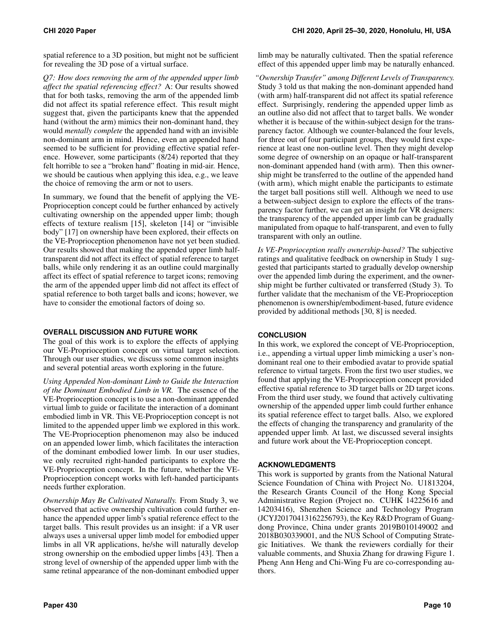spatial reference to a 3D position, but might not be sufficient for revealing the 3D pose of a virtual surface.

*Q7: How does removing the arm of the appended upper limb affect the spatial referencing effect?* A: Our results showed that for both tasks, removing the arm of the appended limb did not affect its spatial reference effect. This result might suggest that, given the participants knew that the appended hand (without the arm) mimics their non-dominant hand, they would *mentally complete* the appended hand with an invisible non-dominant arm in mind. Hence, even an appended hand seemed to be sufficient for providing effective spatial reference. However, some participants (8/24) reported that they felt horrible to see a "broken hand" floating in mid-air. Hence, we should be cautious when applying this idea, e.g., we leave the choice of removing the arm or not to users.

In summary, we found that the benefit of applying the VE-Proprioception concept could be further enhanced by actively cultivating ownership on the appended upper limb; though effects of texture realism [\[15\]](#page-10-17), skeleton [\[14\]](#page-10-18) or "invisible body" [\[17\]](#page-10-19) on ownership have been explored, their effects on the VE-Proprioception phenomenon have not yet been studied. Our results showed that making the appended upper limb halftransparent did not affect its effect of spatial reference to target balls, while only rendering it as an outline could marginally affect its effect of spatial reference to target icons; removing the arm of the appended upper limb did not affect its effect of spatial reference to both target balls and icons; however, we have to consider the emotional factors of doing so.

# **OVERALL DISCUSSION AND FUTURE WORK**

The goal of this work is to explore the effects of applying our VE-Proprioception concept on virtual target selection. Through our user studies, we discuss some common insights and several potential areas worth exploring in the future.

*Using Appended Non-dominant Limb to Guide the Interaction of the Dominant Embodied Limb in VR.* The essence of the VE-Proprioception concept is to use a non-dominant appended virtual limb to guide or facilitate the interaction of a dominant embodied limb in VR. This VE-Proprioception concept is not limited to the appended upper limb we explored in this work. The VE-Proprioception phenomenon may also be induced on an appended lower limb, which facilitates the interaction of the dominant embodied lower limb. In our user studies, we only recruited right-handed participants to explore the VE-Proprioception concept. In the future, whether the VE-Proprioception concept works with left-handed participants needs further exploration.

*Ownership May Be Cultivated Naturally.* From Study 3, we observed that active ownership cultivation could further enhance the appended upper limb's spatial reference effect to the target balls. This result provides us an insight: if a VR user always uses a universal upper limb model for embodied upper limbs in all VR applications, he/she will naturally develop strong ownership on the embodied upper limbs [\[43\]](#page-11-18). Then a strong level of ownership of the appended upper limb with the same retinal appearance of the non-dominant embodied upper

limb may be naturally cultivated. Then the spatial reference effect of this appended upper limb may be naturally enhanced.

*"Ownership Transfer" among Different Levels of Transparency.*  Study 3 told us that making the non-dominant appended hand (with arm) half-transparent did not affect its spatial reference effect. Surprisingly, rendering the appended upper limb as an outline also did not affect that to target balls. We wonder whether it is because of the within-subject design for the transparency factor. Although we counter-balanced the four levels, for three out of four participant groups, they would first experience at least one non-outline level. Then they might develop some degree of ownership on an opaque or half-transparent non-dominant appended hand (with arm). Then this ownership might be transferred to the outline of the appended hand (with arm), which might enable the participants to estimate the target ball positions still well. Although we need to use a between-subject design to explore the effects of the transparency factor further, we can get an insight for VR designers: the transparency of the appended upper limb can be gradually manipulated from opaque to half-transparent, and even to fully transparent with only an outline.

*Is VE-Proprioception really ownership-based?* The subjective ratings and qualitative feedback on ownership in Study 1 suggested that participants started to gradually develop ownership over the appended limb during the experiment, and the ownership might be further cultivated or transferred (Study 3). To further validate that the mechanism of the VE-Proprioception phenomenon is ownership/embodiment-based, future evidence provided by additional methods [\[30,](#page-11-21) [8\]](#page-10-20) is needed.

# **CONCLUSION**

In this work, we explored the concept of VE-Proprioception, i.e., appending a virtual upper limb mimicking a user's nondominant real one to their embodied avatar to provide spatial reference to virtual targets. From the first two user studies, we found that applying the VE-Proprioception concept provided effective spatial reference to 3D target balls or 2D target icons. From the third user study, we found that actively cultivating ownership of the appended upper limb could further enhance its spatial reference effect to target balls. Also, we explored the effects of changing the transparency and granularity of the appended upper limb. At last, we discussed several insights and future work about the VE-Proprioception concept.

# **ACKNOWLEDGMENTS**

This work is supported by grants from the National Natural Science Foundation of China with Project No. U1813204, the Research Grants Council of the Hong Kong Special Administrative Region (Project no. CUHK 14225616 and 14203416), Shenzhen Science and Technology Program (JCYJ20170413162256793), the Key R&D Program of Guangdong Province, China under grants 2019B010149002 and 2018B030339001, and the NUS School of Computing Strategic Initiatives. We thank the reviewers cordially for their valuable comments, and Shuxia Zhang for drawing Figure [1.](#page-0-0) Pheng Ann Heng and Chi-Wing Fu are co-corresponding authors.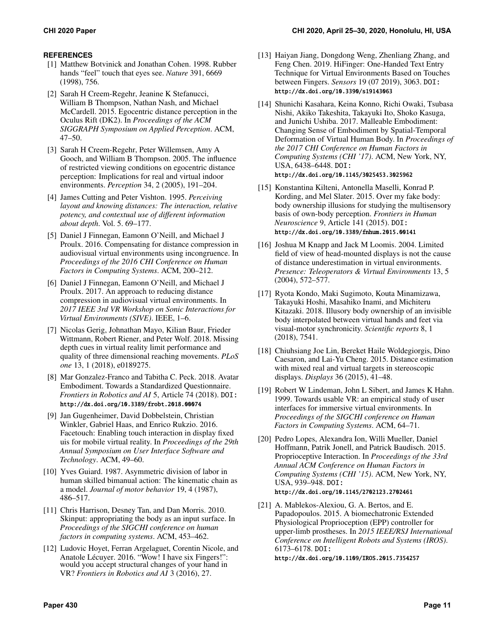# **REFERENCES**

- <span id="page-10-12"></span>[1] Matthew Botvinick and Jonathan Cohen. 1998. Rubber hands "feel" touch that eyes see. *Nature* 391, 6669 (1998), 756.
- <span id="page-10-1"></span>[2] Sarah H Creem-Regehr, Jeanine K Stefanucci, William B Thompson, Nathan Nash, and Michael McCardell. 2015. Egocentric distance perception in the Oculus Rift (DK2). In *Proceedings of the ACM SIGGRAPH Symposium on Applied Perception*. ACM, 47–50.
- <span id="page-10-7"></span>[3] Sarah H Creem-Regehr, Peter Willemsen, Amy A Gooch, and William B Thompson. 2005. The influence of restricted viewing conditions on egocentric distance perception: Implications for real and virtual indoor environments. *Perception* 34, 2 (2005), 191–204.
- <span id="page-10-6"></span>[4] James Cutting and Peter Vishton. 1995. *Perceiving layout and knowing distances: The interaction, relative potency, and contextual use of different information about depth*. Vol. 5. 69–177.
- <span id="page-10-2"></span>[5] Daniel J Finnegan, Eamonn O'Neill, and Michael J Proulx. 2016. Compensating for distance compression in audiovisual virtual environments using incongruence. In *Proceedings of the 2016 CHI Conference on Human Factors in Computing Systems*. ACM, 200–212.
- <span id="page-10-9"></span>[6] Daniel J Finnegan, Eamonn O'Neill, and Michael J Proulx. 2017. An approach to reducing distance compression in audiovisual virtual environments. In *2017 IEEE 3rd VR Workshop on Sonic Interactions for Virtual Environments (SIVE)*. IEEE, 1–6.
- <span id="page-10-15"></span>[7] Nicolas Gerig, Johnathan Mayo, Kilian Baur, Frieder Wittmann, Robert Riener, and Peter Wolf. 2018. Missing depth cues in virtual reality limit performance and quality of three dimensional reaching movements. *PLoS one* 13, 1 (2018), e0189275.
- <span id="page-10-20"></span>[8] Mar Gonzalez-Franco and Tabitha C. Peck. 2018. Avatar Embodiment. Towards a Standardized Questionnaire. *Frontiers in Robotics and AI* 5, Article 74 (2018). DOI: <http://dx.doi.org/10.3389/frobt.2018.00074>
- <span id="page-10-4"></span>[9] Jan Gugenheimer, David Dobbelstein, Christian Winkler, Gabriel Haas, and Enrico Rukzio. 2016. Facetouch: Enabling touch interaction in display fixed uis for mobile virtual reality. In *Proceedings of the 29th Annual Symposium on User Interface Software and Technology*. ACM, 49–60.
- <span id="page-10-14"></span>[10] Yves Guiard. 1987. Asymmetric division of labor in human skilled bimanual action: The kinematic chain as a model. *Journal of motor behavior* 19, 4 (1987), 486–517.
- <span id="page-10-10"></span>[11] Chris Harrison, Desney Tan, and Dan Morris. 2010. Skinput: appropriating the body as an input surface. In *Proceedings of the SIGCHI conference on human factors in computing systems*. ACM, 453–462.
- <span id="page-10-13"></span>[12] Ludovic Hoyet, Ferran Argelaguet, Corentin Nicole, and Anatole Lécuyer. 2016. "Wow! I have six Fingers!": would you accept structural changes of your hand in VR? *Frontiers in Robotics and AI* 3 (2016), 27.
- <span id="page-10-5"></span>[13] Haiyan Jiang, Dongdong Weng, Zhenliang Zhang, and Feng Chen. 2019. HiFinger: One-Handed Text Entry Technique for Virtual Environments Based on Touches between Fingers. *Sensors* 19 (07 2019), 3063. DOI: <http://dx.doi.org/10.3390/s19143063>
- <span id="page-10-18"></span>[14] Shunichi Kasahara, Keina Konno, Richi Owaki, Tsubasa Nishi, Akiko Takeshita, Takayuki Ito, Shoko Kasuga, and Junichi Ushiba. 2017. Malleable Embodiment: Changing Sense of Embodiment by Spatial-Temporal Deformation of Virtual Human Body. In *Proceedings of the 2017 CHI Conference on Human Factors in Computing Systems (CHI '17)*. ACM, New York, NY, USA, 6438–6448. DOI: <http://dx.doi.org/10.1145/3025453.3025962>
- <span id="page-10-17"></span>[15] Konstantina Kilteni, Antonella Maselli, Konrad P. Kording, and Mel Slater. 2015. Over my fake body: body ownership illusions for studying the multisensory basis of own-body perception. *Frontiers in Human Neuroscience* 9, Article 141 (2015). DOI: <http://dx.doi.org/10.3389/fnhum.2015.00141>
- <span id="page-10-8"></span>[16] Joshua M Knapp and Jack M Loomis. 2004. Limited field of view of head-mounted displays is not the cause of distance underestimation in virtual environments. *Presence: Teleoperators & Virtual Environments* 13, 5 (2004), 572–577.
- <span id="page-10-19"></span>[17] Ryota Kondo, Maki Sugimoto, Kouta Minamizawa, Takayuki Hoshi, Masahiko Inami, and Michiteru Kitazaki. 2018. Illusory body ownership of an invisible body interpolated between virtual hands and feet via visual-motor synchronicity. *Scientific reports* 8, 1 (2018), 7541.
- <span id="page-10-0"></span>[18] Chiuhsiang Joe Lin, Bereket Haile Woldegiorgis, Dino Caesaron, and Lai-Yu Cheng. 2015. Distance estimation with mixed real and virtual targets in stereoscopic displays. *Displays* 36 (2015), 41–48.
- <span id="page-10-3"></span>[19] Robert W Lindeman, John L Sibert, and James K Hahn. 1999. Towards usable VR: an empirical study of user interfaces for immersive virtual environments. In *Proceedings of the SIGCHI conference on Human Factors in Computing Systems*. ACM, 64–71.
- <span id="page-10-11"></span>[20] Pedro Lopes, Alexandra Ion, Willi Mueller, Daniel Hoffmann, Patrik Jonell, and Patrick Baudisch. 2015. Proprioceptive Interaction. In *Proceedings of the 33rd Annual ACM Conference on Human Factors in Computing Systems (CHI '15)*. ACM, New York, NY, USA, 939–948. DOI: <http://dx.doi.org/10.1145/2702123.2702461>
- <span id="page-10-16"></span>[21] A. Mablekos-Alexiou, G. A. Bertos, and E. Papadopoulos. 2015. A biomechatronic Extended Physiological Proprioception (EPP) controller for upper-limb prostheses. In *2015 IEEE/RSJ International Conference on Intelligent Robots and Systems (IROS)*. 6173–6178. DOI:

<http://dx.doi.org/10.1109/IROS.2015.7354257>